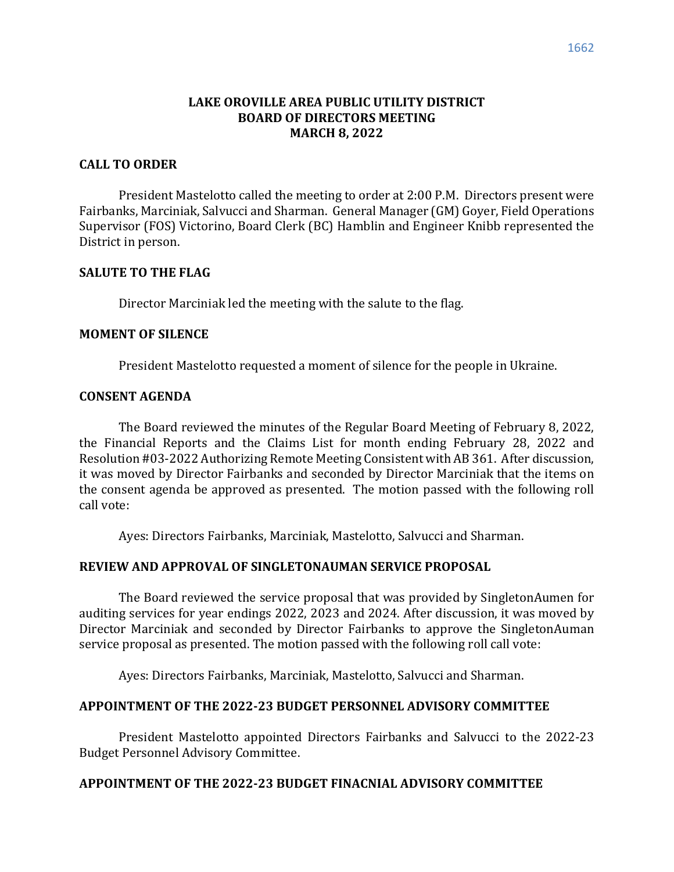## **LAKE OROVILLE AREA PUBLIC UTILITY DISTRICT BOARD OF DIRECTORS MEETING MARCH 8, 2022**

### **CALL TO ORDER**

President Mastelotto called the meeting to order at 2:00 P.M. Directors present were Fairbanks, Marciniak, Salvucci and Sharman. General Manager (GM) Goyer, Field Operations Supervisor (FOS) Victorino, Board Clerk (BC) Hamblin and Engineer Knibb represented the District in person.

#### **SALUTE TO THE FLAG**

Director Marciniak led the meeting with the salute to the flag.

#### **MOMENT OF SILENCE**

President Mastelotto requested a moment of silence for the people in Ukraine.

### **CONSENT AGENDA**

The Board reviewed the minutes of the Regular Board Meeting of February 8, 2022, the Financial Reports and the Claims List for month ending February 28, 2022 and Resolution #03-2022 Authorizing Remote Meeting Consistent with AB 361. After discussion, it was moved by Director Fairbanks and seconded by Director Marciniak that the items on the consent agenda be approved as presented. The motion passed with the following roll call vote:

Ayes: Directors Fairbanks, Marciniak, Mastelotto, Salvucci and Sharman.

### **REVIEW AND APPROVAL OF SINGLETONAUMAN SERVICE PROPOSAL**

The Board reviewed the service proposal that was provided by SingletonAumen for auditing services for year endings 2022, 2023 and 2024. After discussion, it was moved by Director Marciniak and seconded by Director Fairbanks to approve the SingletonAuman service proposal as presented. The motion passed with the following roll call vote:

Ayes: Directors Fairbanks, Marciniak, Mastelotto, Salvucci and Sharman.

### **APPOINTMENT OF THE 2022-23 BUDGET PERSONNEL ADVISORY COMMITTEE**

President Mastelotto appointed Directors Fairbanks and Salvucci to the 2022-23 Budget Personnel Advisory Committee.

## **APPOINTMENT OF THE 2022-23 BUDGET FINACNIAL ADVISORY COMMITTEE**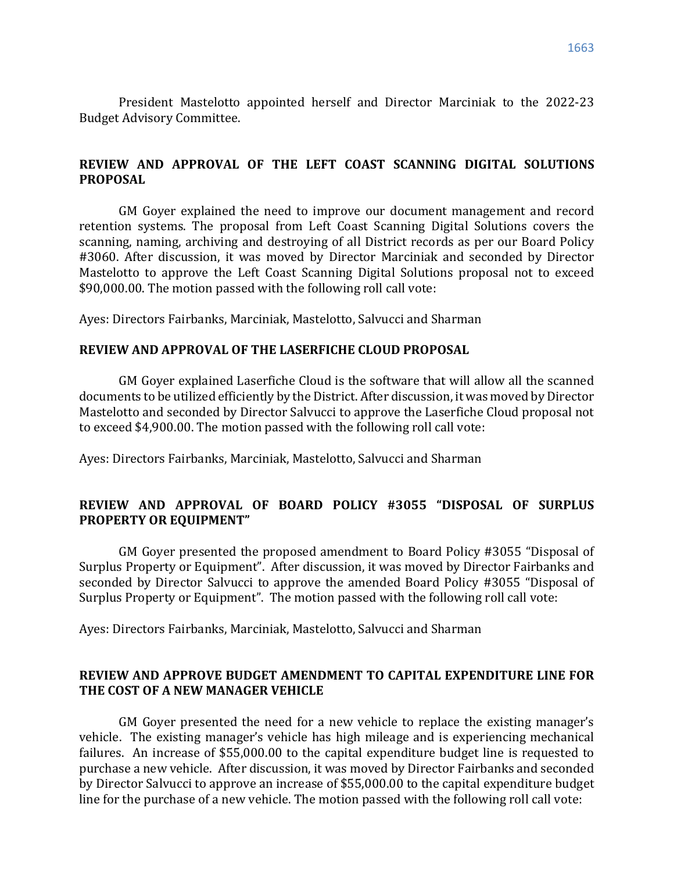President Mastelotto appointed herself and Director Marciniak to the 2022-23 Budget Advisory Committee.

## **REVIEW AND APPROVAL OF THE LEFT COAST SCANNING DIGITAL SOLUTIONS PROPOSAL**

GM Goyer explained the need to improve our document management and record retention systems. The proposal from Left Coast Scanning Digital Solutions covers the scanning, naming, archiving and destroying of all District records as per our Board Policy #3060. After discussion, it was moved by Director Marciniak and seconded by Director Mastelotto to approve the Left Coast Scanning Digital Solutions proposal not to exceed \$90,000.00. The motion passed with the following roll call vote:

Ayes: Directors Fairbanks, Marciniak, Mastelotto, Salvucci and Sharman

#### **REVIEW AND APPROVAL OF THE LASERFICHE CLOUD PROPOSAL**

GM Goyer explained Laserfiche Cloud is the software that will allow all the scanned documents to be utilized efficiently by the District. After discussion, it was moved by Director Mastelotto and seconded by Director Salvucci to approve the Laserfiche Cloud proposal not to exceed \$4,900.00. The motion passed with the following roll call vote:

Ayes: Directors Fairbanks, Marciniak, Mastelotto, Salvucci and Sharman

## **REVIEW AND APPROVAL OF BOARD POLICY #3055 "DISPOSAL OF SURPLUS PROPERTY OR EQUIPMENT"**

GM Goyer presented the proposed amendment to Board Policy #3055 "Disposal of Surplus Property or Equipment". After discussion, it was moved by Director Fairbanks and seconded by Director Salvucci to approve the amended Board Policy #3055 "Disposal of Surplus Property or Equipment". The motion passed with the following roll call vote:

Ayes: Directors Fairbanks, Marciniak, Mastelotto, Salvucci and Sharman

## **REVIEW AND APPROVE BUDGET AMENDMENT TO CAPITAL EXPENDITURE LINE FOR THE COST OF A NEW MANAGER VEHICLE**

GM Goyer presented the need for a new vehicle to replace the existing manager's vehicle. The existing manager's vehicle has high mileage and is experiencing mechanical failures. An increase of \$55,000.00 to the capital expenditure budget line is requested to purchase a new vehicle. After discussion, it was moved by Director Fairbanks and seconded by Director Salvucci to approve an increase of \$55,000.00 to the capital expenditure budget line for the purchase of a new vehicle. The motion passed with the following roll call vote: